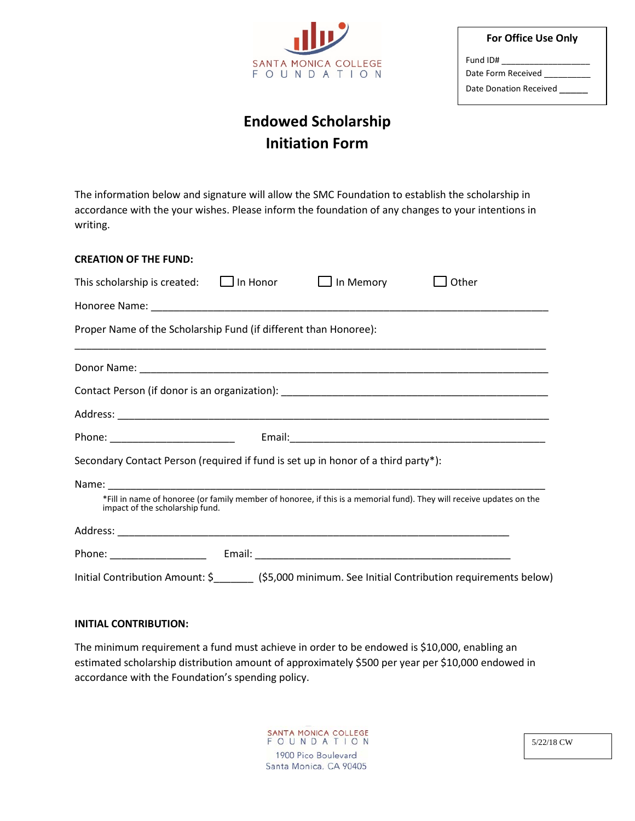

| <b>For Office Use Only</b> |
|----------------------------|
| Fund ID#                   |
| Date Form Received         |
| Date Donation Received     |

# **Endowed Scholarship Initiation Form**

The information below and signature will allow the SMC Foundation to establish the scholarship in accordance with the your wishes. Please inform the foundation of any changes to your intentions in writing.

| <b>CREATION OF THE FUND:</b>                                                      |                  |                                                                                                                       |
|-----------------------------------------------------------------------------------|------------------|-----------------------------------------------------------------------------------------------------------------------|
| This scholarship is created: $\Box$ In Honor                                      | $\Box$ In Memory | Other                                                                                                                 |
|                                                                                   |                  |                                                                                                                       |
| Proper Name of the Scholarship Fund (if different than Honoree):                  |                  |                                                                                                                       |
|                                                                                   |                  | <u> 1989 - Johann Stoff, deutscher Stoff, der Stoff, der Stoff, der Stoff, der Stoff, der Stoff, der Stoff, der S</u> |
|                                                                                   |                  |                                                                                                                       |
|                                                                                   |                  |                                                                                                                       |
|                                                                                   |                  |                                                                                                                       |
| Secondary Contact Person (required if fund is set up in honor of a third party*): |                  |                                                                                                                       |
|                                                                                   |                  |                                                                                                                       |
| impact of the scholarship fund.                                                   |                  | *Fill in name of honoree (or family member of honoree, if this is a memorial fund). They will receive updates on the  |
|                                                                                   |                  |                                                                                                                       |
|                                                                                   |                  |                                                                                                                       |
|                                                                                   |                  | Initial Contribution Amount: \$__________ (\$5,000 minimum. See Initial Contribution requirements below)              |

#### **INITIAL CONTRIBUTION:**

The minimum requirement a fund must achieve in order to be endowed is \$10,000, enabling an estimated scholarship distribution amount of approximately \$500 per year per \$10,000 endowed in accordance with the Foundation's spending policy.

> SANTA MONICA COLLEGE<br>F O U N D A T I O N 1900 Pico Boulevard Santa Monica, CA 90405

5/22/18 CW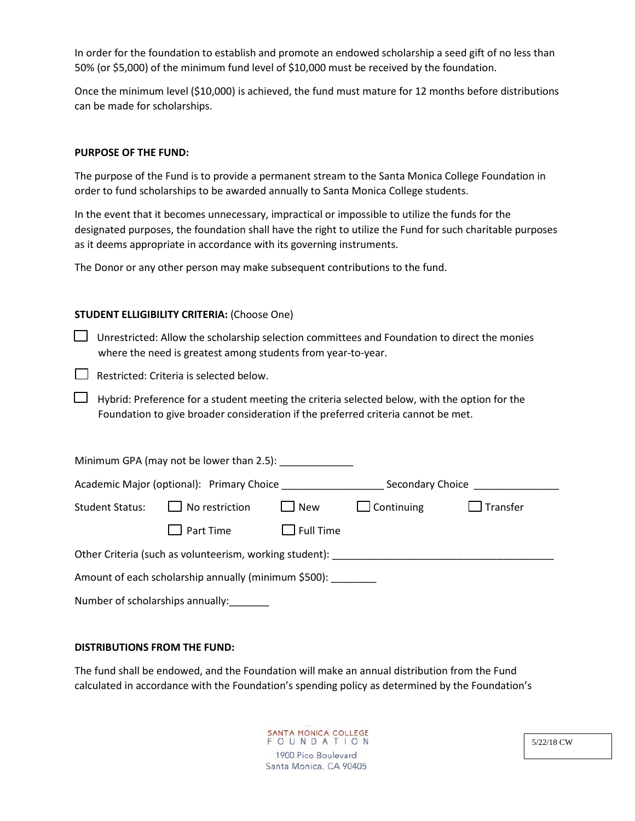In order for the foundation to establish and promote an endowed scholarship a seed gift of no less than 50% (or \$5,000) of the minimum fund level of \$10,000 must be received by the foundation.

Once the minimum level (\$10,000) is achieved, the fund must mature for 12 months before distributions can be made for scholarships.

### **PURPOSE OF THE FUND:**

The purpose of the Fund is to provide a permanent stream to the Santa Monica College Foundation in order to fund scholarships to be awarded annually to Santa Monica College students.

In the event that it becomes unnecessary, impractical or impossible to utilize the funds for the designated purposes, the foundation shall have the right to utilize the Fund for such charitable purposes as it deems appropriate in accordance with its governing instruments.

The Donor or any other person may make subsequent contributions to the fund.

#### **STUDENT ELLIGIBILITY CRITERIA:** (Choose One)

 $\Box$  Unrestricted: Allow the scholarship selection committees and Foundation to direct the monies where the need is greatest among students from year-to-year.

Restricted: Criteria is selected below.

 $\Box$  Hybrid: Preference for a student meeting the criteria selected below, with the option for the Foundation to give broader consideration if the preferred criteria cannot be met.

| Minimum GPA (may not be lower than 2.5):                |                              |                  |                   |                                |  |  |  |
|---------------------------------------------------------|------------------------------|------------------|-------------------|--------------------------------|--|--|--|
| Academic Major (optional): Primary Choice               |                              | Secondary Choice |                   |                                |  |  |  |
| <b>Student Status:</b>                                  | $\Box$ No restriction        | $\Box$ New       | $\Box$ Continuing | $\mathsf{\mathsf{J}}$ Transfer |  |  |  |
|                                                         | $\mathsf{\rfloor}$ Part Time | $\Box$ Full Time |                   |                                |  |  |  |
| Other Criteria (such as volunteerism, working student): |                              |                  |                   |                                |  |  |  |
| Amount of each scholarship annually (minimum \$500):    |                              |                  |                   |                                |  |  |  |
| Number of scholarships annually:                        |                              |                  |                   |                                |  |  |  |

## **DISTRIBUTIONS FROM THE FUND:**

The fund shall be endowed, and the Foundation will make an annual distribution from the Fund calculated in accordance with the Foundation's spending policy as determined by the Foundation's

> SANTA MONICA COLLEGE FOUNDATION 1900 Pico Boulevard Santa Monica, CA 90405